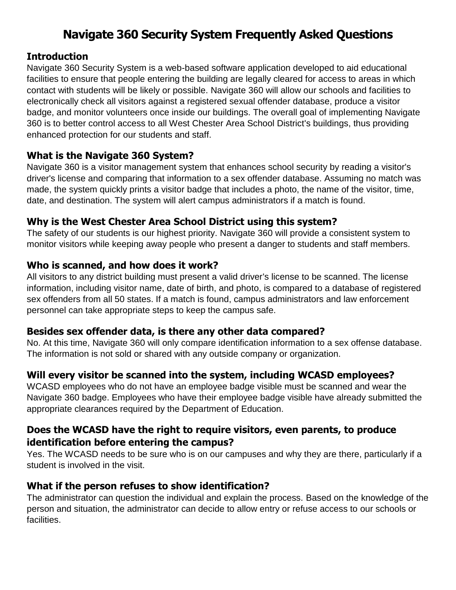# **Navigate 360 Security System Frequently Asked Questions**

## **Introduction**

Navigate 360 Security System is a web-based software application developed to aid educational facilities to ensure that people entering the building are legally cleared for access to areas in which contact with students will be likely or possible. Navigate 360 will allow our schools and facilities to electronically check all visitors against a registered sexual offender database, produce a visitor badge, and monitor volunteers once inside our buildings. The overall goal of implementing Navigate 360 is to better control access to all West Chester Area School District's buildings, thus providing enhanced protection for our students and staff.

# **What is the Navigate 360 System?**

Navigate 360 is a visitor management system that enhances school security by reading a visitor's driver's license and comparing that information to a sex offender database. Assuming no match was made, the system quickly prints a visitor badge that includes a photo, the name of the visitor, time, date, and destination. The system will alert campus administrators if a match is found.

# **Why is the West Chester Area School District using this system?**

The safety of our students is our highest priority. Navigate 360 will provide a consistent system to monitor visitors while keeping away people who present a danger to students and staff members.

## **Who is scanned, and how does it work?**

All visitors to any district building must present a valid driver's license to be scanned. The license information, including visitor name, date of birth, and photo, is compared to a database of registered sex offenders from all 50 states. If a match is found, campus administrators and law enforcement personnel can take appropriate steps to keep the campus safe.

#### **Besides sex offender data, is there any other data compared?**

No. At this time, Navigate 360 will only compare identification information to a sex offense database. The information is not sold or shared with any outside company or organization.

# **Will every visitor be scanned into the system, including WCASD employees?**

WCASD employees who do not have an employee badge visible must be scanned and wear the Navigate 360 badge. Employees who have their employee badge visible have already submitted the appropriate clearances required by the Department of Education.

# **Does the WCASD have the right to require visitors, even parents, to produce identification before entering the campus?**

Yes. The WCASD needs to be sure who is on our campuses and why they are there, particularly if a student is involved in the visit.

# **What if the person refuses to show identification?**

The administrator can question the individual and explain the process. Based on the knowledge of the person and situation, the administrator can decide to allow entry or refuse access to our schools or facilities.